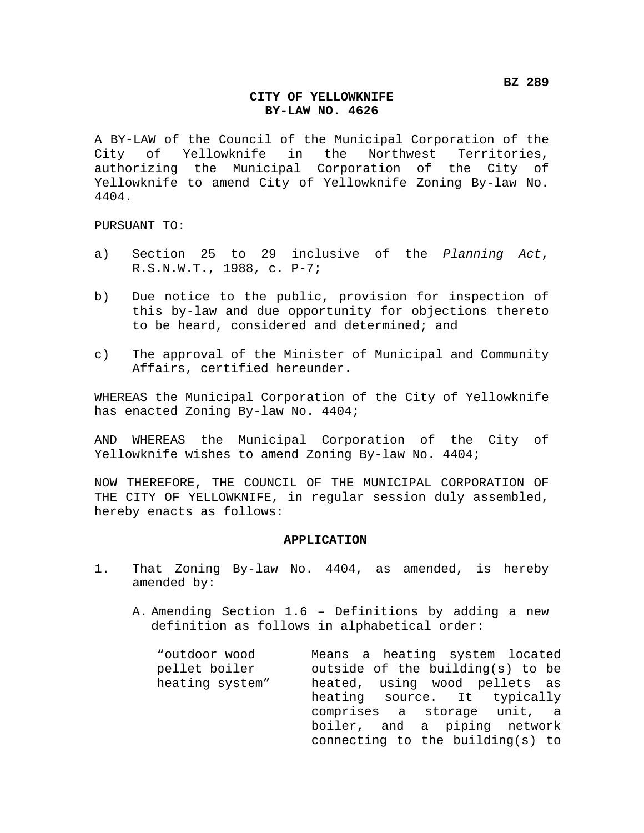## **CITY OF YELLOWKNIFE BY-LAW NO. 4626**

A BY-LAW of the Council of the Municipal Corporation of the City of Yellowknife in the Northwest Territories, authorizing the Municipal Corporation of the City of Yellowknife to amend City of Yellowknife Zoning By-law No. 4404.

PURSUANT TO:

- a) Section 25 to 29 inclusive of the *Planning Act*, R.S.N.W.T., 1988, c. P-7;
- b) Due notice to the public, provision for inspection of this by-law and due opportunity for objections thereto to be heard, considered and determined; and
- c) The approval of the Minister of Municipal and Community Affairs, certified hereunder.

WHEREAS the Municipal Corporation of the City of Yellowknife has enacted Zoning By-law No. 4404;

AND WHEREAS the Municipal Corporation of the City of Yellowknife wishes to amend Zoning By-law No. 4404;

NOW THEREFORE, THE COUNCIL OF THE MUNICIPAL CORPORATION OF THE CITY OF YELLOWKNIFE, in regular session duly assembled, hereby enacts as follows:

## **APPLICATION**

- 1. That Zoning By-law No. 4404, as amended, is hereby amended by:
	- A. Amending Section 1.6 Definitions by adding a new definition as follows in alphabetical order:

| "outdoor wood   | Means a heating system located   |
|-----------------|----------------------------------|
| pellet boiler   | outside of the building(s) to be |
| heating system" | heated, using wood pellets as    |
|                 | heating source. It typically     |
|                 | comprises a storage unit, a      |
|                 | boiler, and a piping network     |
|                 | connecting to the building(s) to |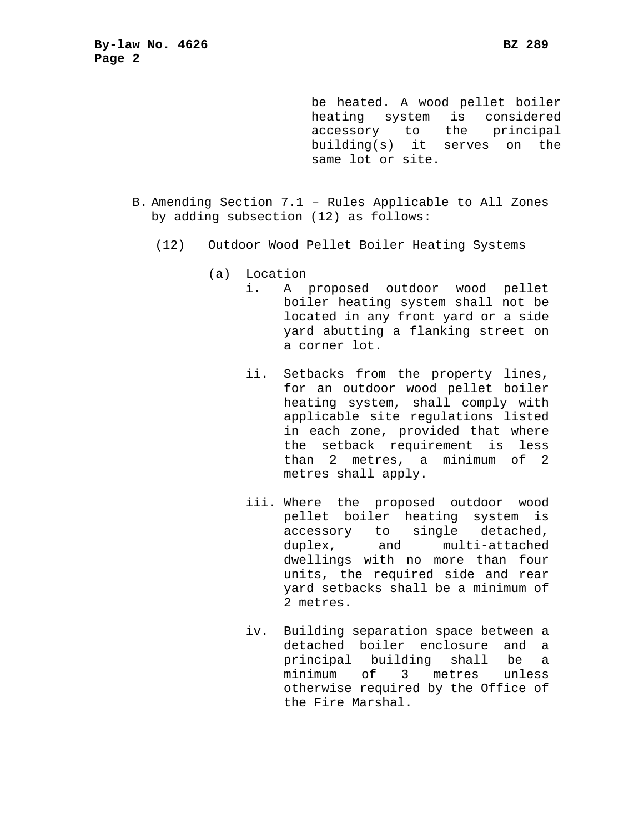be heated. A wood pellet boiler heating system is considered accessory to the principal building(s) it serves on the same lot or site.

- B. Amending Section 7.1 Rules Applicable to All Zones by adding subsection (12) as follows:
	- (12) Outdoor Wood Pellet Boiler Heating Systems
		- (a) Location
			- i. A proposed outdoor wood pellet boiler heating system shall not be located in any front yard or a side yard abutting a flanking street on a corner lot.
			- ii. Setbacks from the property lines, for an outdoor wood pellet boiler heating system, shall comply with applicable site regulations listed in each zone, provided that where the setback requirement is less than 2 metres, a minimum of 2 metres shall apply.
			- iii. Where the proposed outdoor wood pellet boiler heating system is accessory to single detached, duplex, and multi-attached dwellings with no more than four units, the required side and rear yard setbacks shall be a minimum of 2 metres.
			- iv. Building separation space between a detached boiler enclosure and a principal building shall be a minimum of 3 metres unless otherwise required by the Office of the Fire Marshal.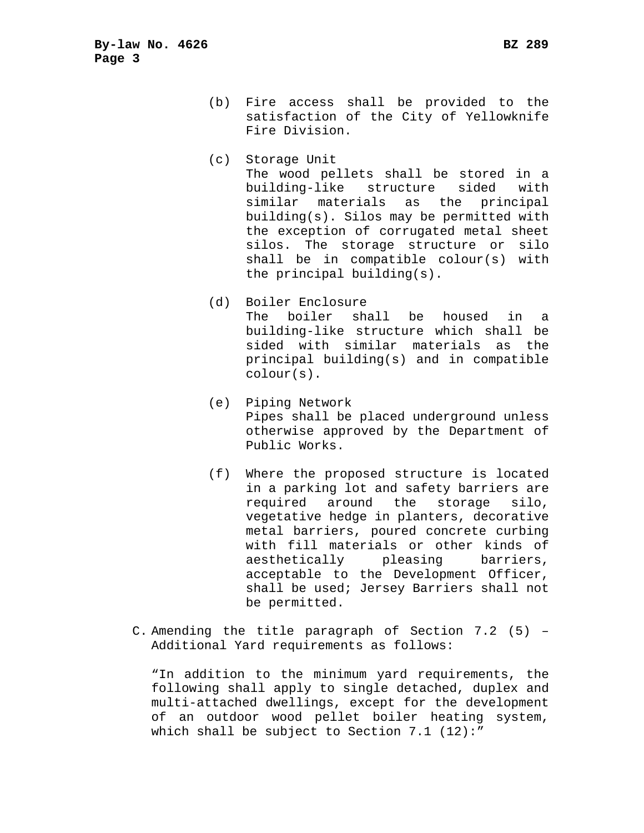- (b) Fire access shall be provided to the satisfaction of the City of Yellowknife Fire Division.
- (c) Storage Unit The wood pellets shall be stored in a building-like structure sided with similar materials as the principal building(s). Silos may be permitted with the exception of corrugated metal sheet silos. The storage structure or silo shall be in compatible colour(s) with the principal building(s).
- (d) Boiler Enclosure The boiler shall be housed in a building-like structure which shall be sided with similar materials as the principal building(s) and in compatible colour(s).
- (e) Piping Network Pipes shall be placed underground unless otherwise approved by the Department of Public Works.
- (f) Where the proposed structure is located in a parking lot and safety barriers are required around the storage silo, vegetative hedge in planters, decorative metal barriers, poured concrete curbing with fill materials or other kinds of aesthetically pleasing barriers, acceptable to the Development Officer, shall be used; Jersey Barriers shall not be permitted.
- C. Amending the title paragraph of Section 7.2 (5) Additional Yard requirements as follows:

"In addition to the minimum yard requirements, the following shall apply to single detached, duplex and multi-attached dwellings, except for the development of an outdoor wood pellet boiler heating system, which shall be subject to Section 7.1 (12):"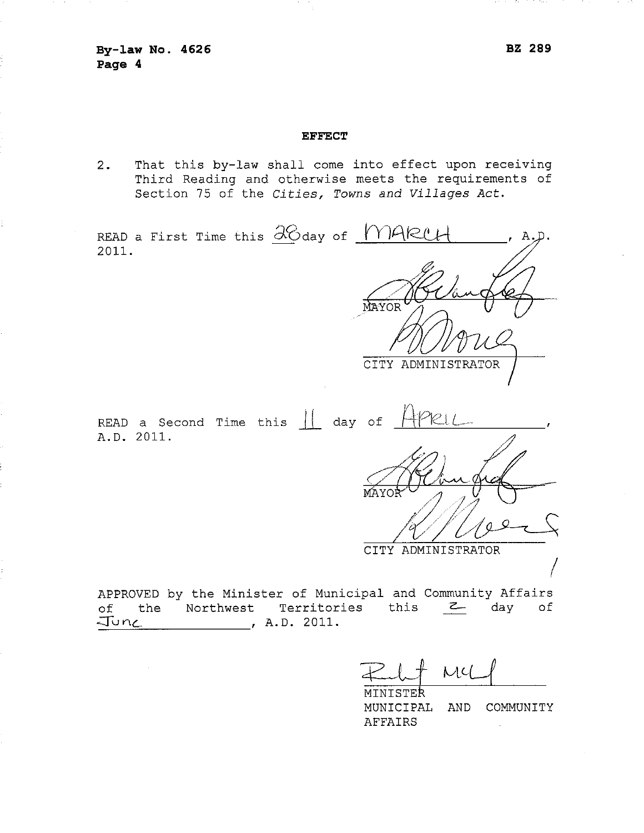June

## **EFFECT**

 $2.$ That this by-law shall come into effect upon receiving Third Reading and otherwise meets the requirements of Section 75 of the Cities, Towns and Villages Act.

| READ a First Time this 38 day of MARCH                                                                                                                  |                                      |  |
|---------------------------------------------------------------------------------------------------------------------------------------------------------|--------------------------------------|--|
| 2011.                                                                                                                                                   |                                      |  |
|                                                                                                                                                         |                                      |  |
|                                                                                                                                                         | MAYOR                                |  |
|                                                                                                                                                         |                                      |  |
|                                                                                                                                                         | CITY ADMINISTRATOR                   |  |
|                                                                                                                                                         |                                      |  |
| READ a Second Time this $\begin{vmatrix} 1 & 1 & 0 \\ 0 & 0 & 1 \end{vmatrix}$ and $\begin{vmatrix} 1 & 0 & 0 \\ 0 & 0 & 1 \end{vmatrix}$<br>A.D. 2011. | PRL                                  |  |
|                                                                                                                                                         |                                      |  |
|                                                                                                                                                         |                                      |  |
|                                                                                                                                                         |                                      |  |
|                                                                                                                                                         |                                      |  |
|                                                                                                                                                         | CITY ADMINISTRATOR                   |  |
|                                                                                                                                                         |                                      |  |
| APPROVED by the Minister of Municipal and Community Affairs                                                                                             |                                      |  |
| Territories<br>Northwest<br>the<br>оf                                                                                                                   | this<br>day of<br>$\mathsf{Z}_{\!-}$ |  |

, A.D. 2011.

 $ML($ MINISTER

MUNICIPAL AND COMMUNITY **AFFAIRS**